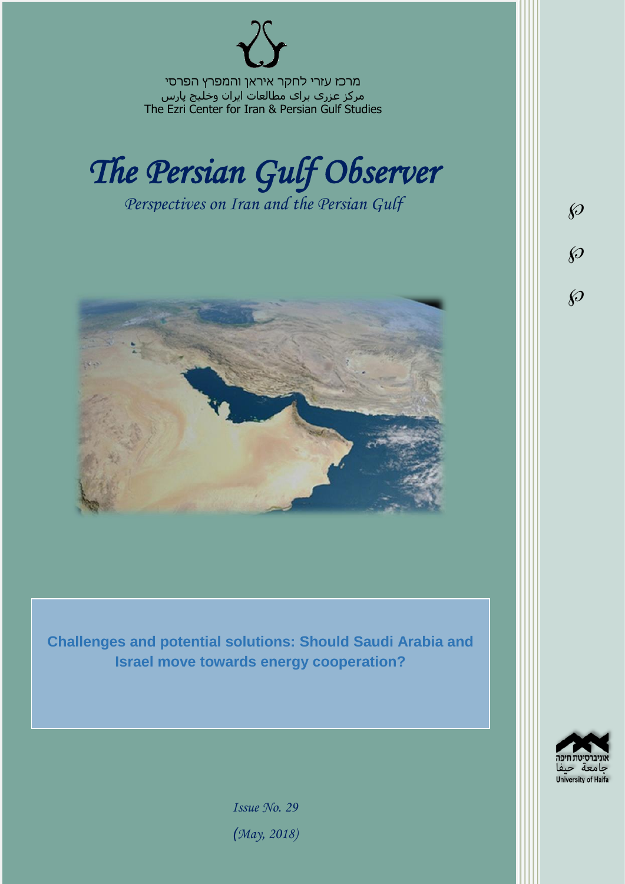מרכז עזרי לחקר איראן והמפרץ הפרסי مرکز عزری برای مطالعات ایران وخلیج پارس The Ezri Center for Iran & Persian Gulf Studies



*Perspectives on Iran and the Persian Gulf* 



**Challenges and potential solutions: Should Saudi Arabia and Israel move towards energy cooperation?**



 $\wp$ 

 $\wp$ 

 $\wp$ 

*Issue No. 29 )May, 2018)*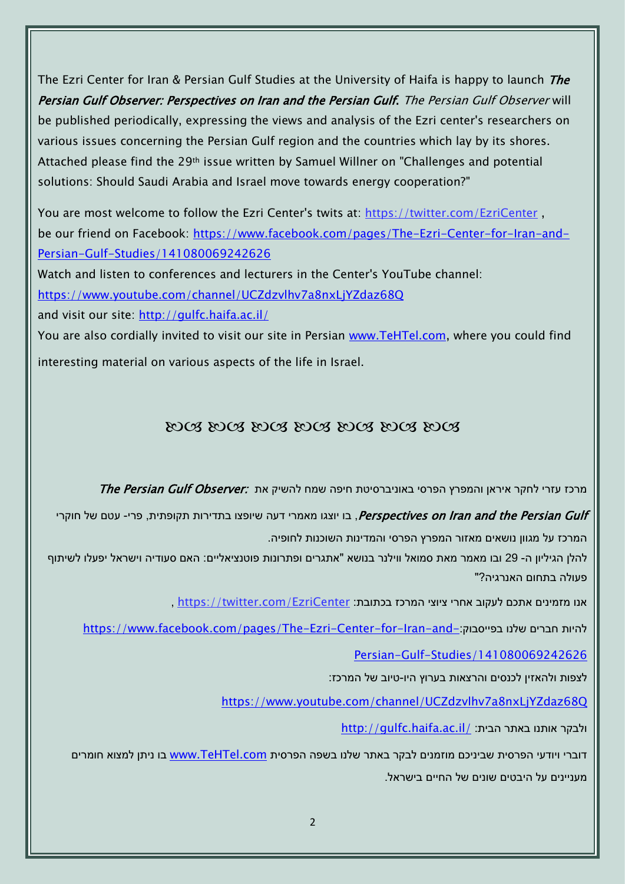The Ezri Center for Iran & Persian Gulf Studies at the University of Haifa is happy to launch *The* Persian Gulf Observer: Perspectives on Iran and the Persian Gulf. The Persian Gulf Observer will be published periodically, expressing the views and analysis of the Ezri center's researchers on various issues concerning the Persian Gulf region and the countries which lay by its shores. Attached please find the 29th issue written by Samuel Willner on "Challenges and potential solutions: Should Saudi Arabia and Israel move towards energy cooperation?"

You are most welcome to follow the Ezri Center's twits at: <https://twitter.com/EzriCenter> , be our friend on Facebook: [https://www.facebook.com/pages/The-Ezri-Center-for-Iran-and-](https://www.facebook.com/pages/The-Ezri-Center-for-Iran-and-Persian-Gulf-Studies/141080069242626)[Persian-Gulf-Studies/141080069242626](https://www.facebook.com/pages/The-Ezri-Center-for-Iran-and-Persian-Gulf-Studies/141080069242626)

Watch and listen to conferences and lecturers in the Center's YouTube channel:

<https://www.youtube.com/channel/UCZdzvlhv7a8nxLjYZdaz68Q>

and visit our site:<http://gulfc.haifa.ac.il/>

You are also cordially invited to visit our site in Persian [www.TeHTel.com,](http://www.tehtel.com/) where you could find interesting material on various aspects of the life in Israel.

### 2008 2008 2008 2008 2008 2008

מרכז עזרי לחקר איראו והמפרץ הפרסי באוניברסיטת חיפה שמח להשיק את :*The Persian Gulf Observer* 

Perspectives on Iran and the Persian Gulf , בו יוצגו מאמרי דעה שיופצו בתדירות תקופתית, פרי- עטם של חוקרי המרכז על מגוון נושאים מאזור המפרץ הפרסי והמדינות השוכנות לחופיה.

להלן הגיליון ה- 29 ובו מאמר מאת סמואל ווילנר בנושא "אתגרים ופתרונות פוטנציאליים: האם סעודיה וישראל יפעלו לשיתוף פעולה בתחום האנרגיה?"

, https://twitter.com/EzriCenter אנו מזמינים אתכם לעקוב אחרי ציוצי המרכז בכתובת:

[https://www.facebook.com/pages/The-Ezri-Center-for-Iran-and-](https://www.facebook.com/pages/The-Ezri-Center-for-Iran-and-Persian-Gulf-Studies/141080069242626):כהיות חברים שלנו בפייסבוק

[Persian-Gulf-Studies/141080069242626](https://www.facebook.com/pages/The-Ezri-Center-for-Iran-and-Persian-Gulf-Studies/141080069242626)

לצפות ולהאזין לכנסים והרצאות בערוץ היו-טיוב של המרכז:

<https://www.youtube.com/channel/UCZdzvlhv7a8nxLjYZdaz68Q>

<http://gulfc.haifa.ac.il/> ולבקר אותנו באתר הבית:

דוברי ויודעי הפרסית שביניכם מוזמנים לבקר באתר שלנו בשפה הפרסית [com.TeHTel.www](http://www.tehtel.com/) בו ניתן למצוא חומרים מעניינים על היבטים שונים של החיים בישראל.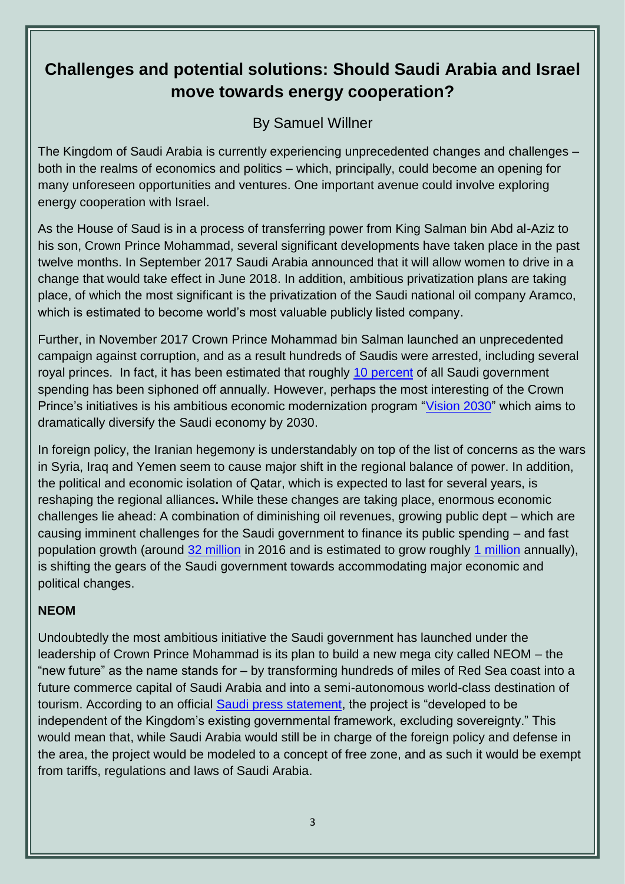# **Challenges and potential solutions: Should Saudi Arabia and Israel move towards energy cooperation?**

# By Samuel Willner

The Kingdom of Saudi Arabia is currently experiencing unprecedented changes and challenges – both in the realms of economics and politics – which, principally, could become an opening for many unforeseen opportunities and ventures. One important avenue could involve exploring energy cooperation with Israel.

As the House of Saud is in a process of transferring power from King Salman bin Abd al-Aziz to his son, Crown Prince Mohammad, several significant developments have taken place in the past twelve months. In September 2017 Saudi Arabia announced that it will allow women to drive in a change that would take effect in June 2018. In addition, ambitious privatization plans are taking place, of which the most significant is the privatization of the Saudi national oil company Aramco, which is estimated to become world's most valuable publicly listed company.

Further, in November 2017 Crown Prince Mohammad bin Salman launched an unprecedented campaign against corruption, and as a result hundreds of Saudis were arrested, including several royal princes. In fact, it has been estimated that roughly [10 percent](https://www.nytimes.com/2017/11/23/opinion/saudi-prince-mbs-arab-spring.html) of all Saudi government spending has been siphoned off annually. However, perhaps the most interesting of the Crown Prince's initiatives is his ambitious economic modernization program ["Vision 2030"](http://vision2030.gov.sa/en) which aims to dramatically diversify the Saudi economy by 2030.

In foreign policy, the Iranian hegemony is understandably on top of the list of concerns as the wars in Syria, Iraq and Yemen seem to cause major shift in the regional balance of power. In addition, the political and economic isolation of Qatar, which is expected to last for several years, is reshaping the regional alliances**.** While these changes are taking place, enormous economic challenges lie ahead: A combination of diminishing oil revenues, growing public dept – which are causing imminent challenges for the Saudi government to finance its public spending – and fast population growth (around [32 million](https://www.stats.gov.sa/en/5305) in 2016 and is estimated to grow roughly [1 million](http://country.eiu.com/saudi-arabia) annually), is shifting the gears of the Saudi government towards accommodating major economic and political changes.

#### **NEOM**

Undoubtedly the most ambitious initiative the Saudi government has launched under the leadership of Crown Prince Mohammad is its plan to build a new mega city called NEOM – the "new future" as the name stands for – by transforming hundreds of miles of Red Sea coast into a future commerce capital of Saudi Arabia and into a semi-autonomous world-class destination of tourism. According to an official [Saudi press statement,](http://discoverneom.com/content/pdfs/NEOM_press_release_English_2017.10.24.pdf) the project is "developed to be independent of the Kingdom's existing governmental framework, excluding sovereignty." This would mean that, while Saudi Arabia would still be in charge of the foreign policy and defense in the area, the project would be modeled to a concept of free zone, and as such it would be exempt from tariffs, regulations and laws of Saudi Arabia.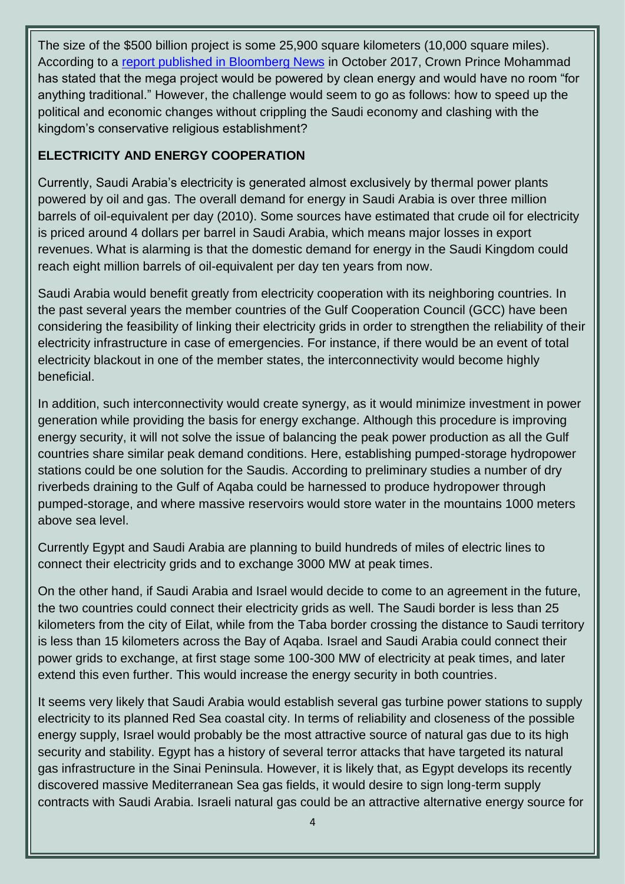The size of the \$500 billion project is some 25,900 square kilometers (10,000 square miles). According to a [report published in Bloomberg News](https://www.bloomberg.com/news/articles/2017-10-24/saudi-arabia-to-build-new-mega-city-on-country-s-north-coast) in October 2017, Crown Prince Mohammad has stated that the mega project would be powered by clean energy and would have no room "for anything traditional." However, the challenge would seem to go as follows: how to speed up the political and economic changes without crippling the Saudi economy and clashing with the kingdom's conservative religious establishment?

## **ELECTRICITY AND ENERGY COOPERATION**

Currently, Saudi Arabia's electricity is generated almost exclusively by thermal power plants powered by oil and gas. The overall demand for energy in Saudi Arabia is over three million barrels of oil-equivalent per day (2010). Some sources have estimated that crude oil for electricity is priced around 4 dollars per barrel in Saudi Arabia, which means major losses in export revenues. What is alarming is that the domestic demand for energy in the Saudi Kingdom could reach eight million barrels of oil-equivalent per day ten years from now.

Saudi Arabia would benefit greatly from electricity cooperation with its neighboring countries. In the past several years the member countries of the Gulf Cooperation Council (GCC) have been considering the feasibility of linking their electricity grids in order to strengthen the reliability of their electricity infrastructure in case of emergencies. For instance, if there would be an event of total electricity blackout in one of the member states, the interconnectivity would become highly beneficial.

In addition, such interconnectivity would create synergy, as it would minimize investment in power generation while providing the basis for energy exchange. Although this procedure is improving energy security, it will not solve the issue of balancing the peak power production as all the Gulf countries share similar peak demand conditions. Here, establishing pumped-storage hydropower stations could be one solution for the Saudis. According to preliminary studies a number of dry riverbeds draining to the Gulf of Aqaba could be harnessed to produce hydropower through pumped-storage, and where massive reservoirs would store water in the mountains 1000 meters above sea level.

Currently Egypt and Saudi Arabia are planning to build hundreds of miles of electric lines to connect their electricity grids and to exchange 3000 MW at peak times.

On the other hand, if Saudi Arabia and Israel would decide to come to an agreement in the future, the two countries could connect their electricity grids as well. The Saudi border is less than 25 kilometers from the city of Eilat, while from the Taba border crossing the distance to Saudi territory is less than 15 kilometers across the Bay of Aqaba. Israel and Saudi Arabia could connect their power grids to exchange, at first stage some 100-300 MW of electricity at peak times, and later extend this even further. This would increase the energy security in both countries.

It seems very likely that Saudi Arabia would establish several gas turbine power stations to supply electricity to its planned Red Sea coastal city. In terms of reliability and closeness of the possible energy supply, Israel would probably be the most attractive source of natural gas due to its high security and stability. Egypt has a history of several terror attacks that have targeted its natural gas infrastructure in the Sinai Peninsula. However, it is likely that, as Egypt develops its recently discovered massive Mediterranean Sea gas fields, it would desire to sign long-term supply contracts with Saudi Arabia. Israeli natural gas could be an attractive alternative energy source for